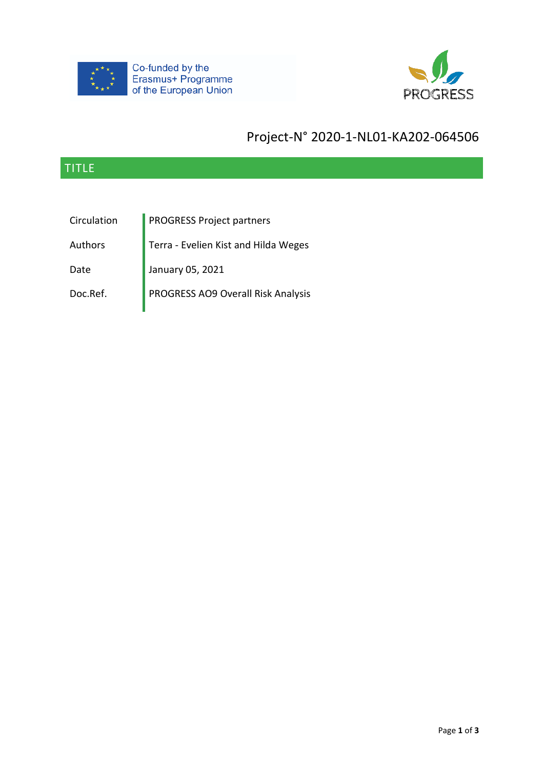



# Project-N° 2020-1-NL01-KA202-064506

## TITLE

Circulation **PROGRESS Project partners** 

Authors Terra - Evelien Kist and Hilda Weges

Date January 05, 2021

Doc.Ref. PROGRESS AO9 Overall Risk Analysis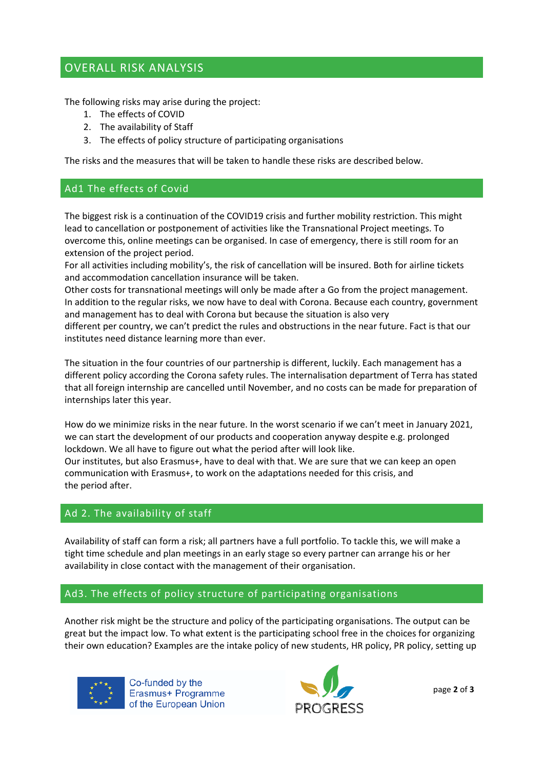### OVERALL RISK ANALYSIS

The following risks may arise during the project:

- 1. The effects of COVID
- 2. The availability of Staff
- 3. The effects of policy structure of participating organisations

The risks and the measures that will be taken to handle these risks are described below.

#### Ad1 The effects of Covid

The biggest risk is a continuation of the COVID19 crisis and further mobility restriction. This might lead to cancellation or postponement of activities like the Transnational Project meetings. To overcome this, online meetings can be organised. In case of emergency, there is still room for an extension of the project period.

For all activities including mobility's, the risk of cancellation will be insured. Both for airline tickets and accommodation cancellation insurance will be taken.

Other costs for transnational meetings will only be made after a Go from the project management. In addition to the regular risks, we now have to deal with Corona. Because each country, government and management has to deal with Corona but because the situation is also very

different per country, we can't predict the rules and obstructions in the near future. Fact is that our institutes need distance learning more than ever.

The situation in the four countries of our partnership is different, luckily. Each management has a different policy according the Corona safety rules. The internalisation department of Terra has stated that all foreign internship are cancelled until November, and no costs can be made for preparation of internships later this year.

How do we minimize risks in the near future. In the worst scenario if we can't meet in January 2021, we can start the development of our products and cooperation anyway despite e.g. prolonged lockdown. We all have to figure out what the period after will look like. Our institutes, but also Erasmus+, have to deal with that. We are sure that we can keep an open communication with Erasmus+, to work on the adaptations needed for this crisis, and the period after.

#### Ad 2. The availability of staff

Availability of staff can form a risk; all partners have a full portfolio. To tackle this, we will make a tight time schedule and plan meetings in an early stage so every partner can arrange his or her availability in close contact with the management of their organisation.

#### Ad3. The effects of policy structure of participating organisations

Another risk might be the structure and policy of the participating organisations. The output can be great but the impact low. To what extent is the participating school free in the choices for organizing their own education? Examples are the intake policy of new students, HR policy, PR policy, setting up



Co-funded by the Erasmus+ Programme of the European Union